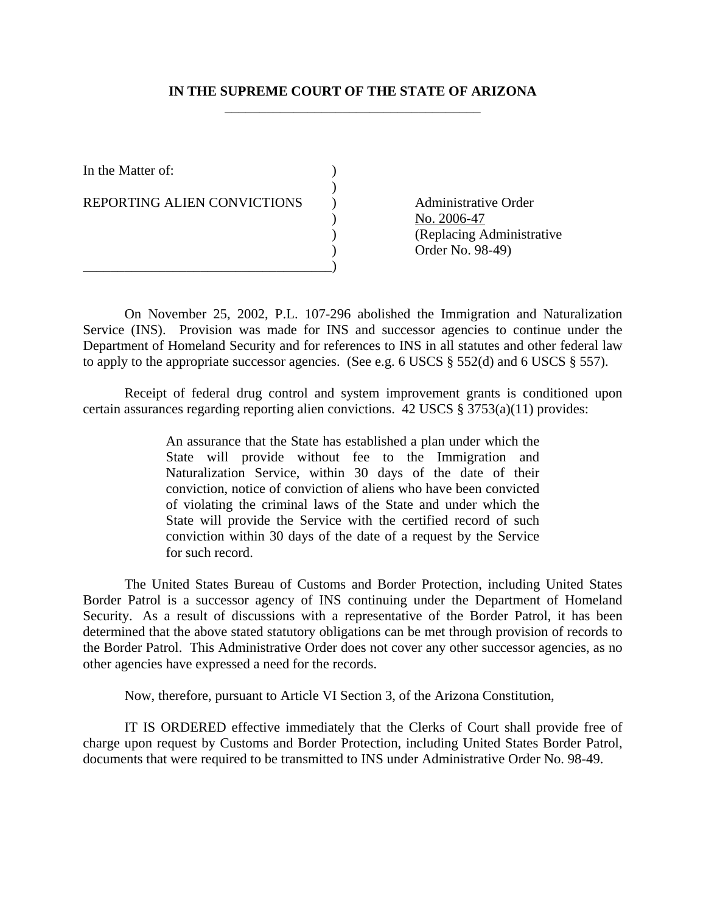## **IN THE SUPREME COURT OF THE STATE OF ARIZONA**  \_\_\_\_\_\_\_\_\_\_\_\_\_\_\_\_\_\_\_\_\_\_\_\_\_\_\_\_\_\_\_\_\_\_\_\_\_

In the Matter of:  $\qquad \qquad$  )

REPORTING ALIEN CONVICTIONS ) Administrative Order

 $)$ 

\_\_\_\_\_\_\_\_\_\_\_\_\_\_\_\_\_\_\_\_\_\_\_\_\_\_\_\_\_\_\_\_\_\_\_\_)

) No. 2006-47<br>(Replacing A ) (Replacing Administrative ) Order No. 98-49)

 On November 25, 2002, P.L. 107-296 abolished the Immigration and Naturalization Service (INS). Provision was made for INS and successor agencies to continue under the Department of Homeland Security and for references to INS in all statutes and other federal law to apply to the appropriate successor agencies. (See e.g. 6 USCS § 552(d) and 6 USCS § 557).

 Receipt of federal drug control and system improvement grants is conditioned upon certain assurances regarding reporting alien convictions. 42 USCS § 3753(a)(11) provides:

> An assurance that the State has established a plan under which the State will provide without fee to the Immigration and Naturalization Service, within 30 days of the date of their conviction, notice of conviction of aliens who have been convicted of violating the criminal laws of the State and under which the State will provide the Service with the certified record of such conviction within 30 days of the date of a request by the Service for such record.

 The United States Bureau of Customs and Border Protection, including United States Border Patrol is a successor agency of INS continuing under the Department of Homeland Security. As a result of discussions with a representative of the Border Patrol, it has been determined that the above stated statutory obligations can be met through provision of records to the Border Patrol. This Administrative Order does not cover any other successor agencies, as no other agencies have expressed a need for the records.

Now, therefore, pursuant to Article VI Section 3, of the Arizona Constitution,

IT IS ORDERED effective immediately that the Clerks of Court shall provide free of charge upon request by Customs and Border Protection, including United States Border Patrol, documents that were required to be transmitted to INS under Administrative Order No. 98-49.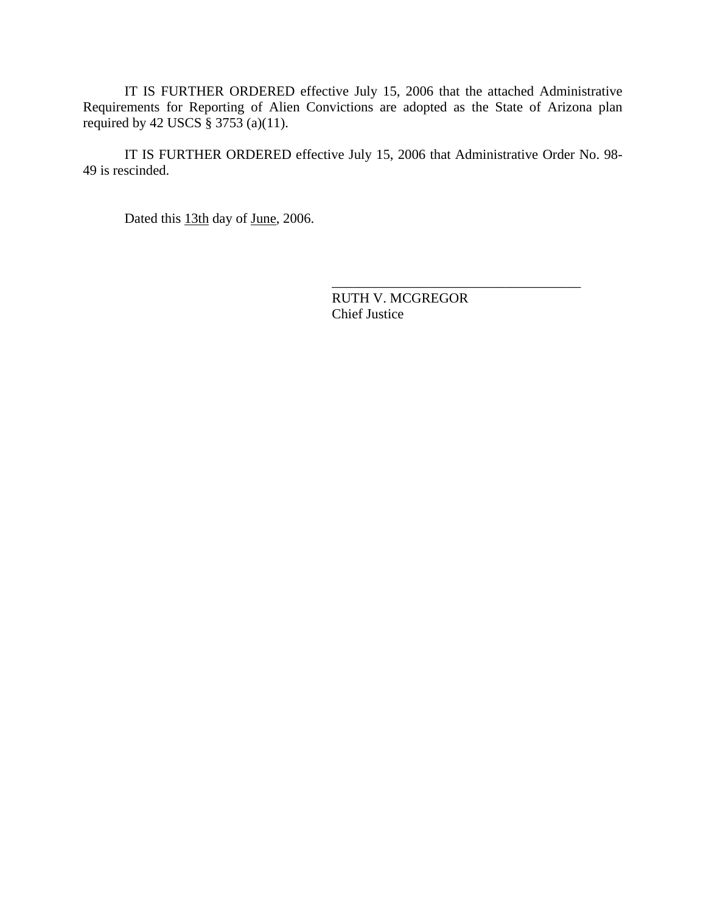IT IS FURTHER ORDERED effective July 15, 2006 that the attached Administrative Requirements for Reporting of Alien Convictions are adopted as the State of Arizona plan required by 42 USCS  $\frac{2}{9}$  3753 (a)(11).

 IT IS FURTHER ORDERED effective July 15, 2006 that Administrative Order No. 98- 49 is rescinded.

 $\overline{\phantom{a}}$  , which is a set of the set of the set of the set of the set of the set of the set of the set of the set of the set of the set of the set of the set of the set of the set of the set of the set of the set of th

Dated this 13th day of June, 2006.

 RUTH V. MCGREGOR Chief Justice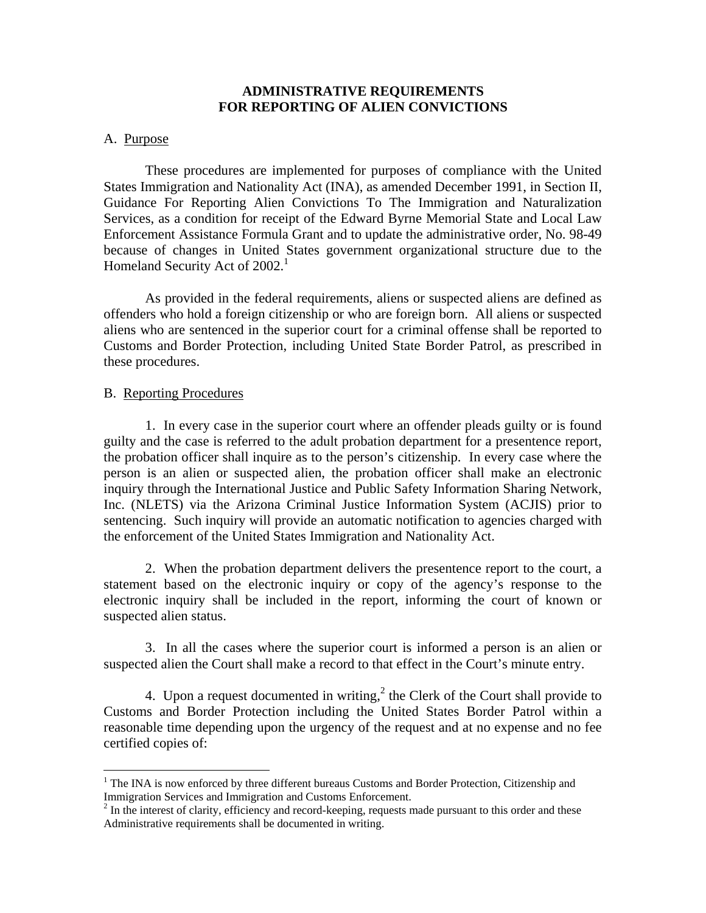## **ADMINISTRATIVE REQUIREMENTS FOR REPORTING OF ALIEN CONVICTIONS**

## A. Purpose

 These procedures are implemented for purposes of compliance with the United States Immigration and Nationality Act (INA), as amended December 1991, in Section II, Guidance For Reporting Alien Convictions To The Immigration and Naturalization Services, as a condition for receipt of the Edward Byrne Memorial State and Local Law Enforcement Assistance Formula Grant and to update the administrative order, No. 98-49 because of changes in United States government organizational structure due to the Homeland Security Act of 2002.<sup>1</sup>

 As provided in the federal requirements, aliens or suspected aliens are defined as offenders who hold a foreign citizenship or who are foreign born. All aliens or suspected aliens who are sentenced in the superior court for a criminal offense shall be reported to Customs and Border Protection, including United State Border Patrol, as prescribed in these procedures.

## B. Reporting Procedures

 $\overline{a}$ 

 1. In every case in the superior court where an offender pleads guilty or is found guilty and the case is referred to the adult probation department for a presentence report, the probation officer shall inquire as to the person's citizenship. In every case where the person is an alien or suspected alien, the probation officer shall make an electronic inquiry through the International Justice and Public Safety Information Sharing Network, Inc. (NLETS) via the Arizona Criminal Justice Information System (ACJIS) prior to sentencing. Such inquiry will provide an automatic notification to agencies charged with the enforcement of the United States Immigration and Nationality Act.

 2. When the probation department delivers the presentence report to the court, a statement based on the electronic inquiry or copy of the agency's response to the electronic inquiry shall be included in the report, informing the court of known or suspected alien status.

 3. In all the cases where the superior court is informed a person is an alien or suspected alien the Court shall make a record to that effect in the Court's minute entry.

4. Upon a request documented in writing,<sup>2</sup> the Clerk of the Court shall provide to Customs and Border Protection including the United States Border Patrol within a reasonable time depending upon the urgency of the request and at no expense and no fee certified copies of:

<sup>&</sup>lt;sup>1</sup> The INA is now enforced by three different bureaus Customs and Border Protection, Citizenship and Immigration Services and Immigration and Customs Enforcement.

 $2<sup>2</sup>$  In the interest of clarity, efficiency and record-keeping, requests made pursuant to this order and these Administrative requirements shall be documented in writing.